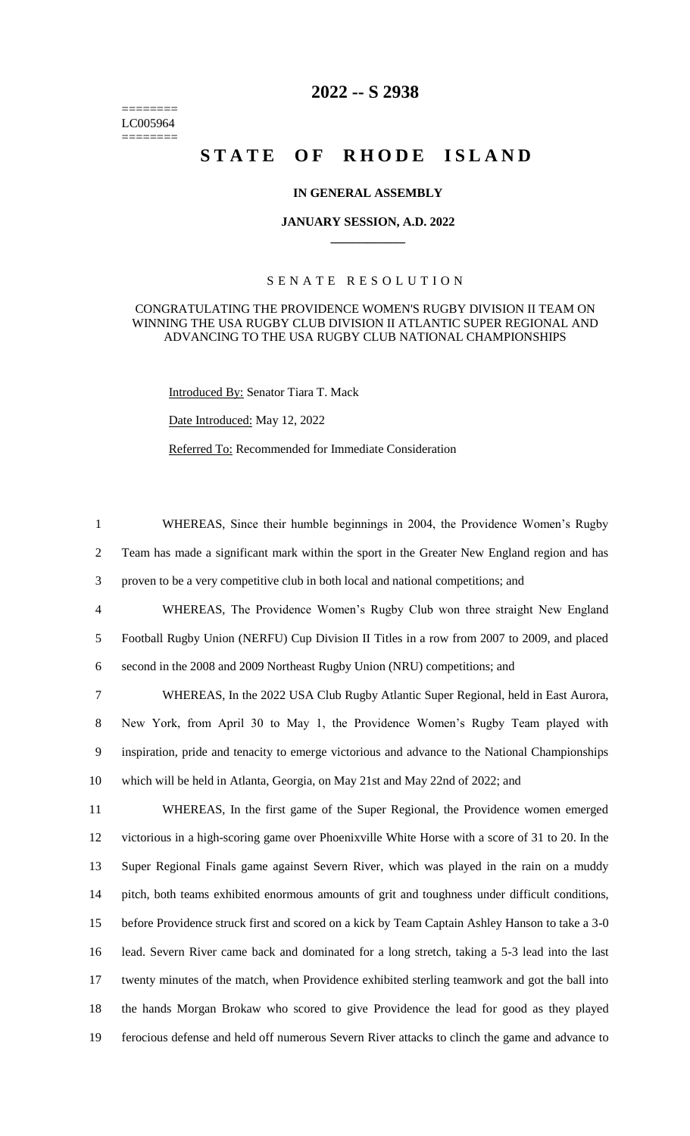======== LC005964 ========

# **2022 -- S 2938**

# STATE OF RHODE ISLAND

## **IN GENERAL ASSEMBLY**

#### **JANUARY SESSION, A.D. 2022 \_\_\_\_\_\_\_\_\_\_\_\_**

## S E N A T E R E S O L U T I O N

#### CONGRATULATING THE PROVIDENCE WOMEN'S RUGBY DIVISION II TEAM ON WINNING THE USA RUGBY CLUB DIVISION II ATLANTIC SUPER REGIONAL AND ADVANCING TO THE USA RUGBY CLUB NATIONAL CHAMPIONSHIPS

Introduced By: Senator Tiara T. Mack

Date Introduced: May 12, 2022

Referred To: Recommended for Immediate Consideration

1 WHEREAS, Since their humble beginnings in 2004, the Providence Women's Rugby 2 Team has made a significant mark within the sport in the Greater New England region and has 3 proven to be a very competitive club in both local and national competitions; and

4 WHEREAS, The Providence Women's Rugby Club won three straight New England 5 Football Rugby Union (NERFU) Cup Division II Titles in a row from 2007 to 2009, and placed 6 second in the 2008 and 2009 Northeast Rugby Union (NRU) competitions; and

 WHEREAS, In the 2022 USA Club Rugby Atlantic Super Regional, held in East Aurora, New York, from April 30 to May 1, the Providence Women's Rugby Team played with inspiration, pride and tenacity to emerge victorious and advance to the National Championships which will be held in Atlanta, Georgia, on May 21st and May 22nd of 2022; and

 WHEREAS, In the first game of the Super Regional, the Providence women emerged victorious in a high-scoring game over Phoenixville White Horse with a score of 31 to 20. In the Super Regional Finals game against Severn River, which was played in the rain on a muddy pitch, both teams exhibited enormous amounts of grit and toughness under difficult conditions, before Providence struck first and scored on a kick by Team Captain Ashley Hanson to take a 3-0 lead. Severn River came back and dominated for a long stretch, taking a 5-3 lead into the last twenty minutes of the match, when Providence exhibited sterling teamwork and got the ball into the hands Morgan Brokaw who scored to give Providence the lead for good as they played ferocious defense and held off numerous Severn River attacks to clinch the game and advance to